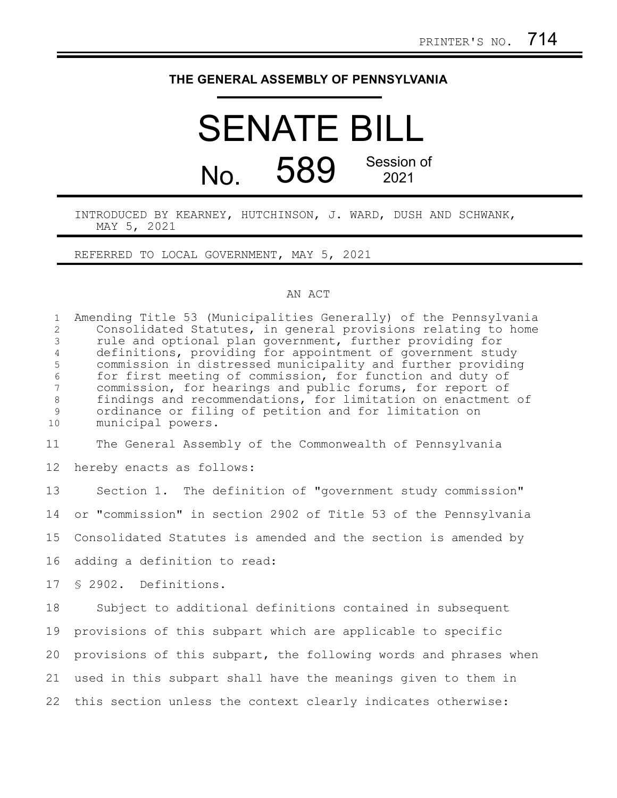## **THE GENERAL ASSEMBLY OF PENNSYLVANIA**

## SENATE BILL  $N<sub>0</sub>$  589 Session of 2021

INTRODUCED BY KEARNEY, HUTCHINSON, J. WARD, DUSH AND SCHWANK, MAY 5, 2021

REFERRED TO LOCAL GOVERNMENT, MAY 5, 2021

## AN ACT

Amending Title 53 (Municipalities Generally) of the Pennsylvania Consolidated Statutes, in general provisions relating to home rule and optional plan government, further providing for definitions, providing for appointment of government study commission in distressed municipality and further providing for first meeting of commission, for function and duty of commission, for hearings and public forums, for report of findings and recommendations, for limitation on enactment of ordinance or filing of petition and for limitation on municipal powers. 1 2 3 4 5 6 7 8 9 10

The General Assembly of the Commonwealth of Pennsylvania 11

hereby enacts as follows: 12

Section 1. The definition of "government study commission" or "commission" in section 2902 of Title 53 of the Pennsylvania Consolidated Statutes is amended and the section is amended by adding a definition to read: § 2902. Definitions. Subject to additional definitions contained in subsequent provisions of this subpart which are applicable to specific provisions of this subpart, the following words and phrases when 13 14 15 16 17 18 19 20

used in this subpart shall have the meanings given to them in 22 this section unless the context clearly indicates otherwise: 21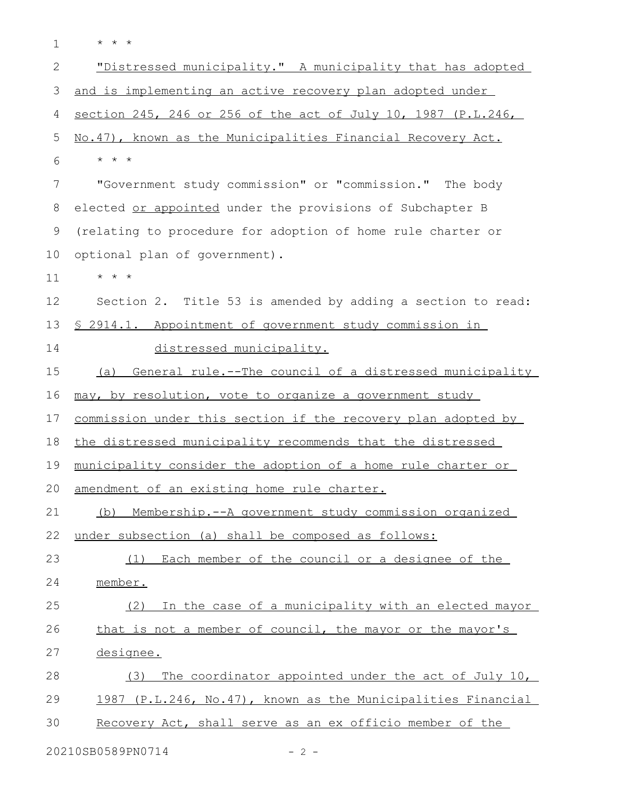\* \* \* 1

| $\overline{2}$ | "Distressed municipality." A municipality that has adopted     |
|----------------|----------------------------------------------------------------|
| 3              | and is implementing an active recovery plan adopted under      |
| 4              | section 245, 246 or 256 of the act of July 10, 1987 (P.L.246,  |
| 5              | No.47), known as the Municipalities Financial Recovery Act.    |
| 6              | $\star$ $\star$ $\star$                                        |
| 7              | "Government study commission" or "commission." The body        |
| $8\,$          | elected or appointed under the provisions of Subchapter B      |
| 9              | (relating to procedure for adoption of home rule charter or    |
| 10             | optional plan of government).                                  |
| 11             | $\star$ $\star$ $\star$                                        |
| 12             | Section 2. Title 53 is amended by adding a section to read:    |
| 13             | \$ 2914.1. Appointment of government study commission in       |
| 14             | distressed municipality.                                       |
| 15             | General rule.--The council of a distressed municipality<br>(a) |
| 16             | may, by resolution, vote to organize a government study        |
| 17             | commission under this section if the recovery plan adopted by  |
| 18             | the distressed municipality recommends that the distressed     |
| 19             | municipality consider the adoption of a home rule charter or   |
| 20             | amendment of an existing home rule charter.                    |
| 21             | (b) Membership.--A government study commission organized       |
| 22             | under subsection (a) shall be composed as follows:             |
| 23             | (1) Each member of the council or a designee of the            |
| 24             | member.                                                        |
| 25             | (2) In the case of a municipality with an elected mayor        |
| 26             | that is not a member of council, the mayor or the mayor's      |
| 27             | designee.                                                      |
| 28             | The coordinator appointed under the act of July 10,<br>(3)     |
| 29             | 1987 (P.L.246, No.47), known as the Municipalities Financial   |
| 30             | Recovery Act, shall serve as an ex officio member of the       |
|                |                                                                |

20210SB0589PN0714 - 2 -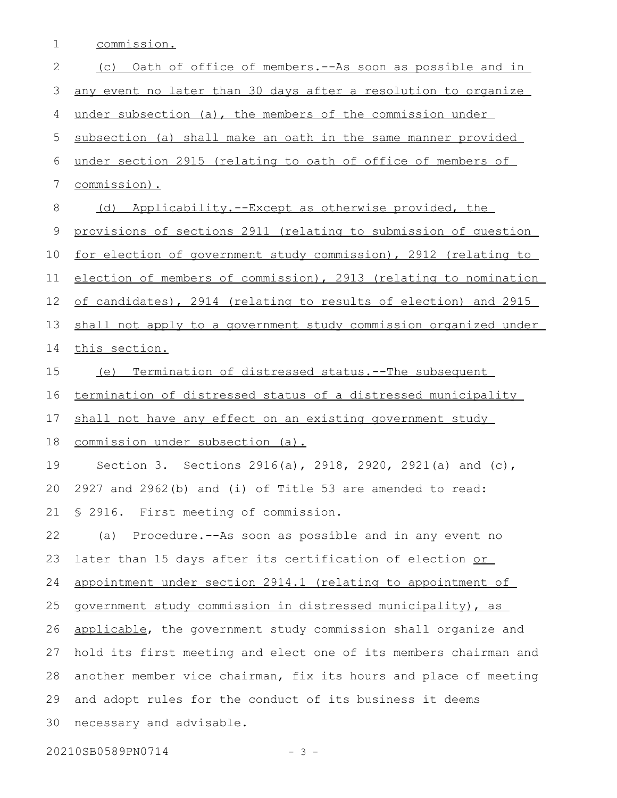commission. 1

| 2           | Oath of office of members. -- As soon as possible and in<br>(C)        |
|-------------|------------------------------------------------------------------------|
| 3           | <u>any event no later than 30 days after a resolution to organize</u>  |
| 4           | under subsection (a), the members of the commission under              |
| 5           | subsection (a) shall make an oath in the same manner provided          |
| 6           | under section 2915 (relating to oath of office of members of           |
| 7           | commission).                                                           |
| 8           | Applicability.--Except as otherwise provided, the<br>(d)               |
| $\mathsf 9$ | provisions of sections 2911 (relating to submission of question        |
| 10          | <u>for election of government study commission), 2912 (relating to</u> |
| 11          | election of members of commission), 2913 (relating to nomination       |
| 12          | of candidates), 2914 (relating to results of election) and 2915        |
| 13          | shall not apply to a government study commission organized under       |
| 14          | this section.                                                          |
| 15          | (e) Termination of distressed status.--The subsequent                  |
| 16          | termination of distressed status of a distressed municipality          |
| 17          | shall not have any effect on an existing government study              |
| 18          | commission under subsection (a).                                       |
| 19          | Section 3. Sections 2916(a), 2918, 2920, 2921(a) and (c),              |
| 20          | 2927 and 2962(b) and (i) of Title 53 are amended to read:              |
|             | 21 \$ 2916. First meeting of commission.                               |
| 22          | (a) Procedure.--As soon as possible and in any event no                |
| 23          | later than 15 days after its certification of election or              |
| 24          | appointment under section 2914.1 (relating to appointment of           |
| 25          | government study commission in distressed municipality), as            |
| 26          | applicable, the government study commission shall organize and         |
| 27          | hold its first meeting and elect one of its members chairman and       |
| 28          | another member vice chairman, fix its hours and place of meeting       |
| 29          | and adopt rules for the conduct of its business it deems               |
| 30          | necessary and advisable.                                               |
|             | 20210SB0589PN0714<br>$-3 -$                                            |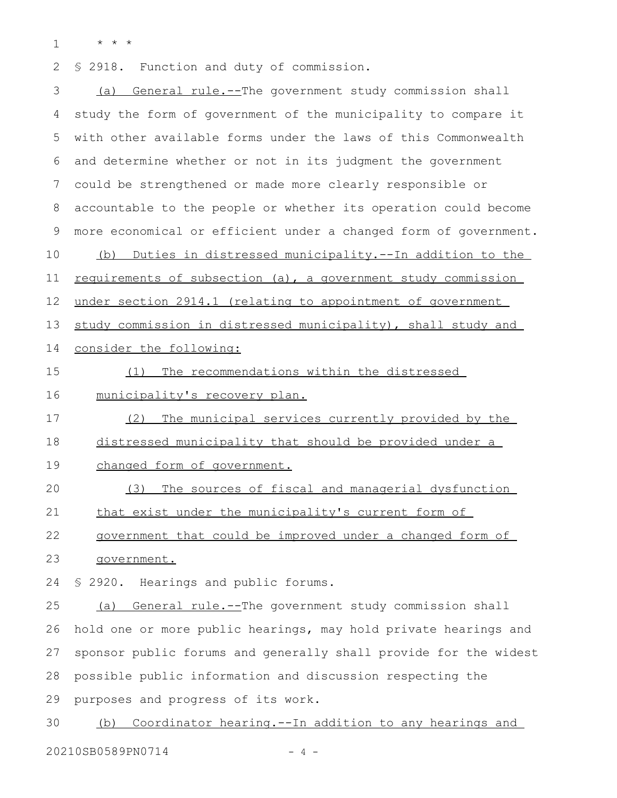\* \* \* 1

§ 2918. Function and duty of commission. 2

(a) General rule.--The government study commission shall study the form of government of the municipality to compare it with other available forms under the laws of this Commonwealth and determine whether or not in its judgment the government could be strengthened or made more clearly responsible or accountable to the people or whether its operation could become more economical or efficient under a changed form of government. (b) Duties in distressed municipality.--In addition to the requirements of subsection (a), a government study commission under section 2914.1 (relating to appointment of government study commission in distressed municipality), shall study and consider the following: (1) The recommendations within the distressed municipality's recovery plan. (2) The municipal services currently provided by the distressed municipality that should be provided under a changed form of government. (3) The sources of fiscal and managerial dysfunction that exist under the municipality's current form of government that could be improved under a changed form of government. § 2920. Hearings and public forums. (a) General rule.--The government study commission shall 3 4 5 6 7 8 9 10 11 12 13 14 15 16 17 18 19 20 21 22 23 24 25

hold one or more public hearings, may hold private hearings and sponsor public forums and generally shall provide for the widest possible public information and discussion respecting the purposes and progress of its work. 26 27 28 29

(b) Coordinator hearing.--In addition to any hearings and 30

20210SB0589PN0714 - 4 -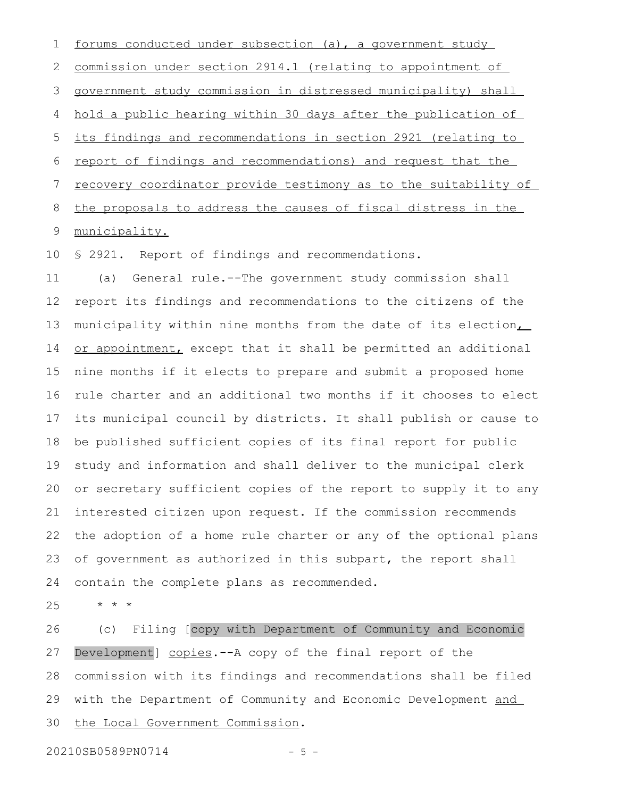forums conducted under subsection (a), a government study commission under section 2914.1 (relating to appointment of government study commission in distressed municipality) shall hold a public hearing within 30 days after the publication of its findings and recommendations in section 2921 (relating to report of findings and recommendations) and request that the recovery coordinator provide testimony as to the suitability of the proposals to address the causes of fiscal distress in the municipality. 1 2 3 4 5 6 7 8 9

§ 2921. Report of findings and recommendations. 10

(a) General rule.--The government study commission shall report its findings and recommendations to the citizens of the municipality within nine months from the date of its election, or appointment, except that it shall be permitted an additional nine months if it elects to prepare and submit a proposed home rule charter and an additional two months if it chooses to elect its municipal council by districts. It shall publish or cause to be published sufficient copies of its final report for public study and information and shall deliver to the municipal clerk or secretary sufficient copies of the report to supply it to any interested citizen upon request. If the commission recommends the adoption of a home rule charter or any of the optional plans of government as authorized in this subpart, the report shall contain the complete plans as recommended. 11 12 13 14 15 16 17 18 19 20 21 22 23 24

\* \* \* 25

(c) Filing [copy with Department of Community and Economic Development] copies.--A copy of the final report of the commission with its findings and recommendations shall be filed with the Department of Community and Economic Development and the Local Government Commission. 26 27 28 29 30

20210SB0589PN0714 - 5 -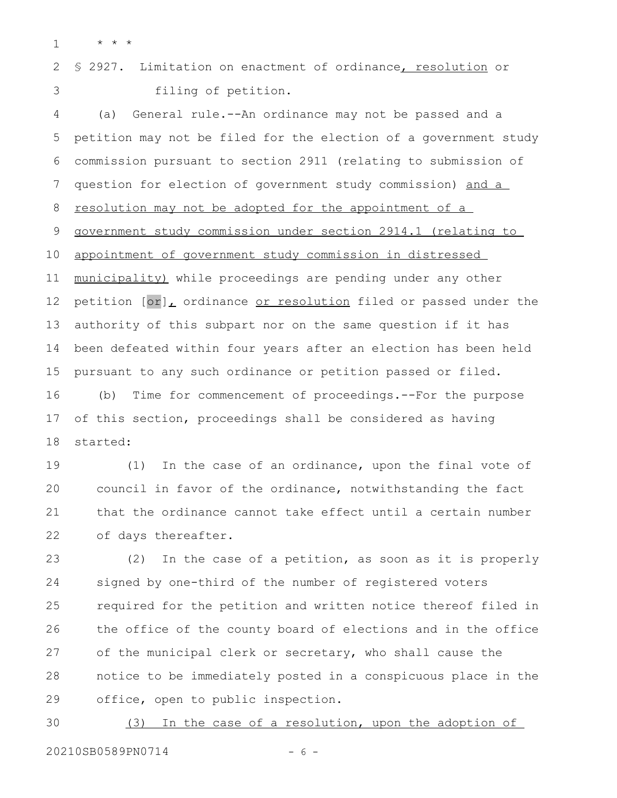\* \* \* 1

§ 2927. Limitation on enactment of ordinance, resolution or filing of petition. 2 3

(a) General rule.--An ordinance may not be passed and a petition may not be filed for the election of a government study commission pursuant to section 2911 (relating to submission of question for election of government study commission) and a resolution may not be adopted for the appointment of a government study commission under section 2914.1 (relating to appointment of government study commission in distressed municipality) while proceedings are pending under any other petition [or], ordinance or resolution filed or passed under the authority of this subpart nor on the same question if it has been defeated within four years after an election has been held pursuant to any such ordinance or petition passed or filed. (b) Time for commencement of proceedings.--For the purpose of this section, proceedings shall be considered as having started: 4 5 6 7 8 9 10 11 12 13 14 15 16 17 18

(1) In the case of an ordinance, upon the final vote of council in favor of the ordinance, notwithstanding the fact that the ordinance cannot take effect until a certain number of days thereafter. 19 20 21 22

(2) In the case of a petition, as soon as it is properly signed by one-third of the number of registered voters required for the petition and written notice thereof filed in the office of the county board of elections and in the office of the municipal clerk or secretary, who shall cause the notice to be immediately posted in a conspicuous place in the office, open to public inspection. 23 24 25 26 27 28 29

(3) In the case of a resolution, upon the adoption of 20210SB0589PN0714 - 6 -30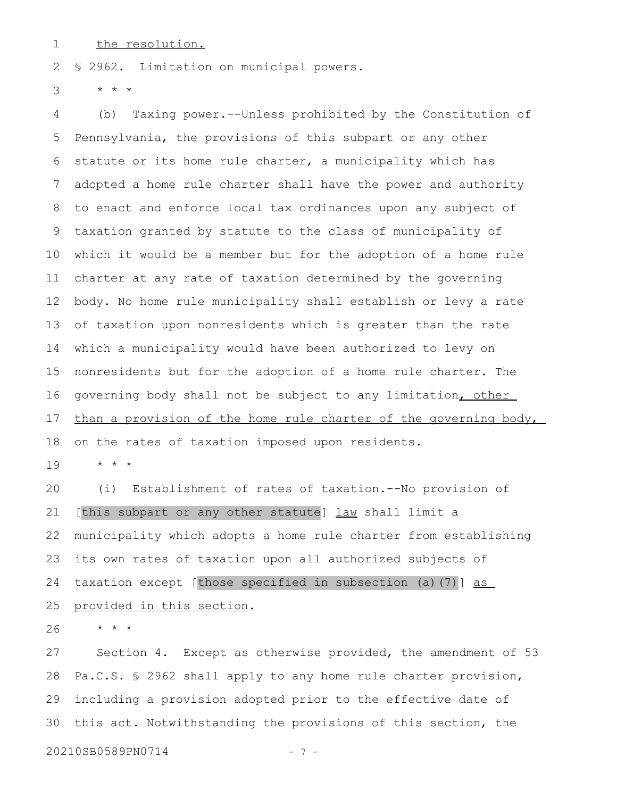the resolution. 1

§ 2962. Limitation on municipal powers. 2

\* \* \* 3

(b) Taxing power.--Unless prohibited by the Constitution of Pennsylvania, the provisions of this subpart or any other statute or its home rule charter, a municipality which has adopted a home rule charter shall have the power and authority to enact and enforce local tax ordinances upon any subject of taxation granted by statute to the class of municipality of which it would be a member but for the adoption of a home rule charter at any rate of taxation determined by the governing body. No home rule municipality shall establish or levy a rate of taxation upon nonresidents which is greater than the rate which a municipality would have been authorized to levy on nonresidents but for the adoption of a home rule charter. The governing body shall not be subject to any limitation, other than a provision of the home rule charter of the governing body, on the rates of taxation imposed upon residents. 4 5 6 7 8 9 10 11 12 13 14 15 16 17 18

\* \* \* 19

(i) Establishment of rates of taxation.--No provision of [this subpart or any other statute] law shall limit a municipality which adopts a home rule charter from establishing its own rates of taxation upon all authorized subjects of taxation except [those specified in subsection (a)(7)] as provided in this section. 20 21 22 23 24 25

\* \* \* 26

Section 4. Except as otherwise provided, the amendment of 53 Pa.C.S. § 2962 shall apply to any home rule charter provision, including a provision adopted prior to the effective date of this act. Notwithstanding the provisions of this section, the 27 28 29 30

20210SB0589PN0714 - 7 -